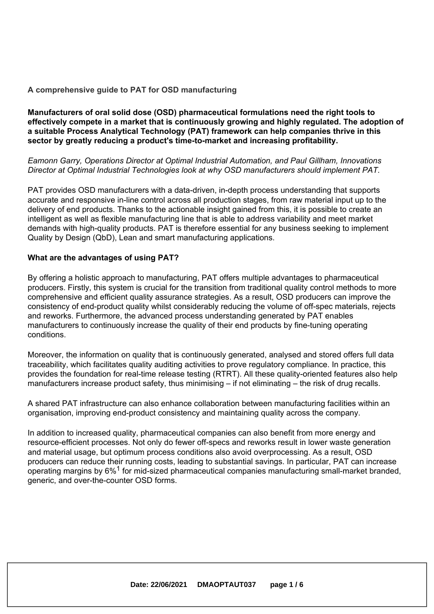#### **A comprehensive guide to PAT for OSD manufacturing**

#### **Manufacturers of oral solid dose (OSD) pharmaceutical formulations need the right tools to effectively compete in <sup>a</sup> market that is continuously growing and highly regulated. The adoption of <sup>a</sup> suitable Process Analytical Technology (PAT) framework can help companies thrive in this sector by greatly reducing <sup>a</sup> product's time-to-market and increasing profitability.**

#### *Eamonn Garry, Operations Director at Optimal Industrial Automation, and Paul Gillham, Innovations Director at Optimal Industrial Technologies look at why OSD manufacturers should implement PAT.*

PAT provides OSD manufacturers with <sup>a</sup> data-driven, in-depth process understanding that supports accurate and responsive in-line control across all production stages, from raw material input up to the delivery of end products. Thanks to the actionable insight gained from this, it is possible to create an intelligent as well as flexible manufacturing line that is able to address variability and meet market demands with high-quality products. PAT is therefore essential for any business seeking to implement Quality by Design (QbD), Lean and smart manufacturing applications.

#### **What are the advantages of using PAT?**

By offering <sup>a</sup> holistic approach to manufacturing, PAT offers multiple advantages to pharmaceutical producers. Firstly, this system is crucial for the transition from traditional quality control methods to more comprehensive and efficient quality assurance strategies. As <sup>a</sup> result, OSD producers can improve the consistency of end-product quality whilst considerably reducing the volume of off-spec materials, rejects and reworks. Furthermore, the advanced process understanding generated by PAT enables manufacturers to continuously increase the quality of their end products by fine-tuning operating conditions.

Moreover, the information on quality that is continuously generated, analysed and stored offers full data traceability, which facilitates quality auditing activities to prove regulatory compliance. In practice, this provides the foundation for real-time release testing (RTRT). All these quality-oriented features also help manufacturers increase product safety, thus minimising – if not eliminating – the risk of drug recalls.

A shared PAT infrastructure can also enhance collaboration between manufacturing facilities within an organisation, improving end-product consistency and maintaining quality across the company.

In addition to increased quality, pharmaceutical companies can also benefit from more energy and resource-efficient processes. Not only do fewer off-specs and reworks result in lower waste generation and material usage, but optimum process conditions also avoid overprocessing. As <sup>a</sup> result, OSD producers can reduce their running costs, leading to substantial savings. In particular, PAT can increase operating margins by 6%<sup>1</sup> for mid-sized pharmaceutical companies manufacturing small-market branded, generic, and over-the-counter OSD forms.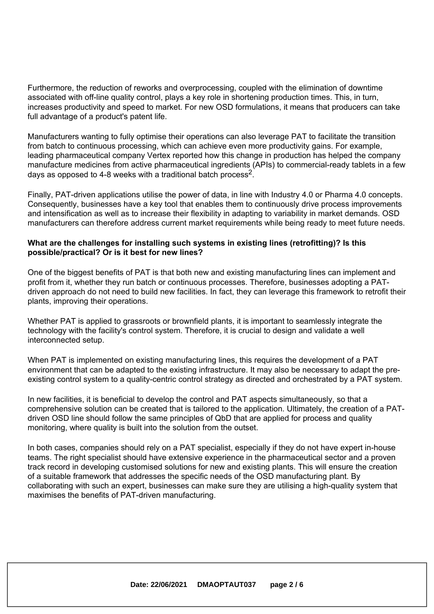Furthermore, the reduction of reworks and overprocessing, coupled with the elimination of downtime associated with off-line quality control, plays <sup>a</sup> key role in shortening production times. This, in turn, increases productivity and speed to market. For new OSD formulations, it means that producers can take full advantage of <sup>a</sup> product's patent life.

Manufacturers wanting to fully optimise their operations can also leverage PAT to facilitate the transition from batch to continuous processing, which can achieve even more productivity gains. For example, leading pharmaceutical company Vertex reported how this change in production has helped the company manufacture medicines from active pharmaceutical ingredients (APIs) to commercial-ready tablets in <sup>a</sup> few days as opposed to 4-8 weeks with a traditional batch process<sup>2</sup>.

Finally, PAT-driven applications utilise the power of data, in line with Industry 4.0 or Pharma 4.0 concepts. Consequently, businesses have <sup>a</sup> key tool that enables them to continuously drive process improvements and intensification as well as to increase their flexibility in adapting to variability in market demands. OSD manufacturers can therefore address current market requirements while being ready to meet future needs.

#### **What are the challenges for installing such systems in existing lines (retrofitting)? Is this possible/practical? Or is it best for new lines?**

One of the biggest benefits of PAT is that both new and existing manufacturing lines can implement and profit from it, whether they run batch or continuous processes. Therefore, businesses adopting <sup>a</sup> PATdriven approach do not need to build new facilities. In fact, they can leverage this framework to retrofit their plants, improving their operations.

Whether PAT is applied to grassroots or brownfield plants, it is important to seamlessly integrate the technology with the facility's control system. Therefore, it is crucial to design and validate <sup>a</sup> well interconnected setup.

When PAT is implemented on existing manufacturing lines, this requires the development of <sup>a</sup> PAT environment that can be adapted to the existing infrastructure. It may also be necessary to adapt the preexisting control system to <sup>a</sup> quality-centric control strategy as directed and orchestrated by <sup>a</sup> PAT system.

In new facilities, it is beneficial to develop the control and PAT aspects simultaneously, so that <sup>a</sup> comprehensive solution can be created that is tailored to the application. Ultimately, the creation of <sup>a</sup> PATdriven OSD line should follow the same principles of QbD that are applied for process and quality monitoring, where quality is built into the solution from the outset.

In both cases, companies should rely on <sup>a</sup> PAT specialist, especially if they do not have expert in-house teams. The right specialist should have extensive experience in the pharmaceutical sector and <sup>a</sup> proven track record in developing customised solutions for new and existing plants. This will ensure the creation of <sup>a</sup> suitable framework that addresses the specific needs of the OSD manufacturing plant. By collaborating with such an expert, businesses can make sure they are utilising <sup>a</sup> high-quality system that maximises the benefits of PAT-driven manufacturing.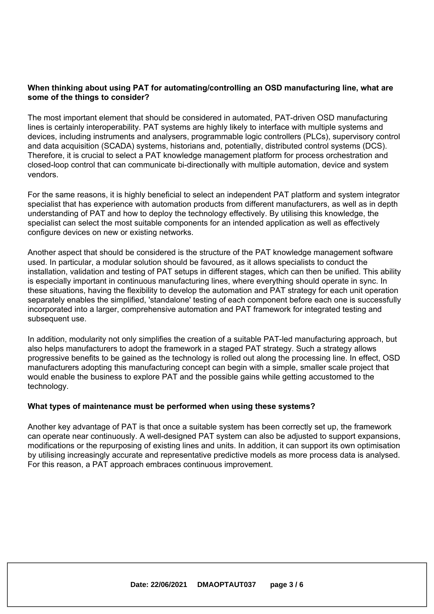### **When thinking about using PAT for automating/controlling an OSD manufacturing line, what are some of the things to consider?**

The most important element that should be considered in automated, PAT-driven OSD manufacturing lines is certainly interoperability. PAT systems are highly likely to interface with multiple systems and devices, including instruments and analysers, programmable logic controllers (PLCs), supervisory control and data acquisition (SCADA) systems, historians and, potentially, distributed control systems (DCS). Therefore, it is crucial to select <sup>a</sup> PAT knowledge management platform for process orchestration and closed-loop control that can communicate bi-directionally with multiple automation, device and system vendors.

For the same reasons, it is highly beneficial to select an independent PAT platform and system integrator specialist that has experience with automation products from different manufacturers, as well as in depth understanding of PAT and how to deploy the technology effectively. By utilising this knowledge, the specialist can select the most suitable components for an intended application as well as effectively configure devices on new or existing networks.

Another aspect that should be considered is the structure of the PAT knowledge management software used. In particular, <sup>a</sup> modular solution should be favoured, as it allows specialists to conduct the installation, validation and testing of PAT setups in different stages, which can then be unified. This ability is especially important in continuous manufacturing lines, where everything should operate in sync. In these situations, having the flexibility to develop the automation and PAT strategy for each unit operation separately enables the simplified, 'standalone' testing of each component before each one is successfully incorporated into <sup>a</sup> larger, comprehensive automation and PAT framework for integrated testing and subsequent use.

In addition, modularity not only simplifies the creation of <sup>a</sup> suitable PAT-led manufacturing approach, but also helps manufacturers to adopt the framework in <sup>a</sup> staged PAT strategy. Such <sup>a</sup> strategy allows progressive benefits to be gained as the technology is rolled out along the processing line. In effect, OSD manufacturers adopting this manufacturing concept can begin with <sup>a</sup> simple, smaller scale project that would enable the business to explore PAT and the possible gains while getting accustomed to the technology.

#### **What types of maintenance must be performed when using these systems?**

Another key advantage of PAT is that once <sup>a</sup> suitable system has been correctly set up, the framework can operate near continuously. A well-designed PAT system can also be adjusted to support expansions, modifications or the repurposing of existing lines and units. In addition, it can support its own optimisation by utilising increasingly accurate and representative predictive models as more process data is analysed. For this reason, <sup>a</sup> PAT approach embraces continuous improvement.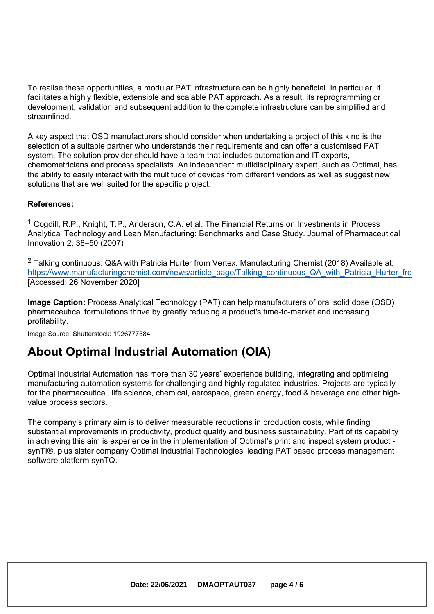To realise these opportunities, <sup>a</sup> modular PAT infrastructure can be highly beneficial. In particular, it facilitates <sup>a</sup> highly flexible, extensible and scalable PAT approach. As <sup>a</sup> result, its reprogramming or development, validation and subsequent addition to the complete infrastructure can be simplified and streamlined.

A key aspect that OSD manufacturers should consider when undertaking <sup>a</sup> project of this kind is the selection of <sup>a</sup> suitable partner who understands their requirements and can offer <sup>a</sup> customised PAT system. The solution provider should have <sup>a</sup> team that includes automation and IT experts, chemometricians and process specialists. An independent multidisciplinary expert, such as Optimal, has the ability to easily interact with the multitude of devices from different vendors as well as suggest new solutions that are well suited for the specific project.

### **References:**

<sup>1</sup> Cogdill, R.P., Knight, T.P., Anderson, C.A. et al. The Financial Returns on Investments in Process Analytical Technology and Lean Manufacturing: Benchmarks and Case Study. Journal of Pharmaceutical Innovation 2, 38–50 (2007)

<sup>2</sup> Talking continuous: Q&A with Patricia Hurter from Vertex. Manufacturing Chemist (2018) Available at: https://www.manufacturingchemist.com/news/article\_page/Talking\_continuous\_QA\_with\_Patricia\_Hurter\_fro [Accessed: 26 November 2020]

**Image Caption:** Process Analytical Technology (PAT) can help manufacturers of oral solid dose (OSD) pharmaceutical formulations thrive by greatly reducing <sup>a</sup> product's time-to-market and increasing profitability.

Image Source: Shutterstock: 1926777584

## **About Optimal Industrial Automation (OIA)**

Optimal Industrial Automation has more than 30 years' experience building, integrating and optimising manufacturing automation systems for challenging and highly regulated industries. Projects are typically for the pharmaceutical, life science, chemical, aerospace, green energy, food & beverage and other highvalue process sectors.

The company's primary aim is to deliver measurable reductions in production costs, while finding substantial improvements in productivity, product quality and business sustainability. Part of its capability in achieving this aim is experience in the implementation of Optimal's print and inspect system product synTI®, plus sister company Optimal Industrial Technologies' leading PAT based process management software platform synTQ.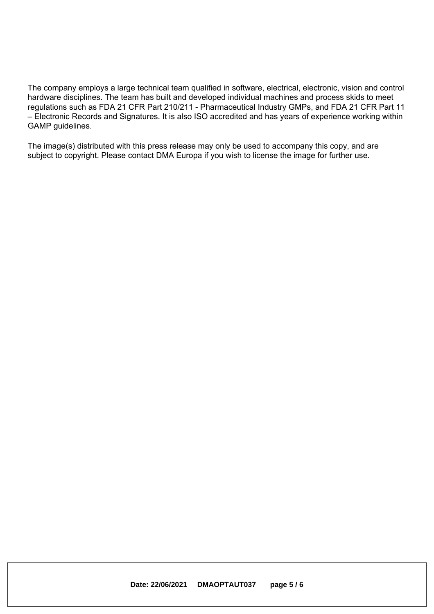The company employs <sup>a</sup> large technical team qualified in software, electrical, electronic, vision and control hardware disciplines. The team has built and developed individual machines and process skids to meet regulations such as FDA 21 CFR Part 210/211 - Pharmaceutical Industry GMPs, and FDA 21 CFR Part 11 – Electronic Records and Signatures. It is also ISO accredited and has years of experience working within GAMP guidelines.

The image(s) distributed with this press release may only be used to accompany this copy, and are subject to copyright. Please contact DMA Europa if you wish to license the image for further use.